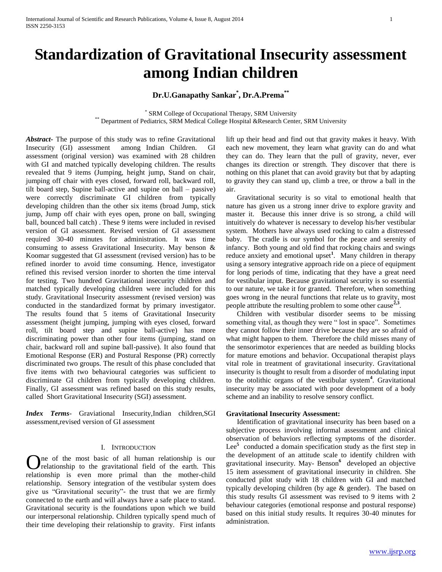# **Standardization of Gravitational Insecurity assessment among Indian children**

# **Dr.U.Ganapathy Sankar\* , Dr.A.Prema\*\***

\* SRM College of Occupational Therapy, SRM University \*\* Department of Pediatrics, SRM Medical College Hospital &Research Center, SRM University

*Abstract***-** The purpose of this study was to refine Gravitational Insecurity (GI) assessment among Indian Children. GI assessment (original version) was examined with 28 children with GI and matched typically developing children. The results revealed that 9 items (Jumping, height jump, Stand on chair, jumping off chair with eyes closed, forward roll, backward roll, tilt board step, Supine ball-active and supine on ball – passive) were correctly discriminate GI children from typically developing children than the other six items (broad Jump, stick jump, Jump off chair with eyes open, prone on ball, swinging ball, bounced ball catch) . These 9 items were included in revised version of GI assessment. Revised version of GI assessment required 30-40 minutes for administration. It was time consuming to assess Gravitational Insecurity. May benson & Koomar suggested that GI assessment (revised version) has to be refined inorder to avoid time consuming. Hence, investigator refined this revised version inorder to shorten the time interval for testing. Two hundred Gravitational insecurity children and matched typically developing children were included for this study. Gravitational Insecurity assessment (revised version) was conducted in the standardized format by primary investigator. The results found that 5 items of Gravitational Insecurity assessment (height jumping, jumping with eyes closed, forward roll, tilt board step and supine ball-active) has more discriminating power than other four items (jumping, stand on chair, backward roll and supine ball-passive). It also found that Emotional Response (ER) and Postural Response (PR) correctly discriminated two groups. The result of this phase concluded that five items with two behavioural categories was sufficient to discriminate GI children from typically developing children. Finally, GI assessment was refined based on this study results, called Short Gravitational Insecurity (SGI) assessment.

*Index Terms*- Graviational Insecurity,Indian children,SGI assessment,revised version of GI assessment

# I. INTRODUCTION

ne of the most basic of all human relationship is our One of the most basic of all human relationship is our relationship to the gravitational field of the earth. This relationship is even more primal than the mother-child relationship. Sensory integration of the vestibular system does give us "Gravitational security"- the trust that we are firmly connected to the earth and will always have a safe place to stand. Gravitational security is the foundations upon which we build our interpersonal relationship. Children typically spend much of their time developing their relationship to gravity. First infants

lift up their head and find out that gravity makes it heavy. With each new movement, they learn what gravity can do and what they can do. They learn that the pull of gravity, never, ever changes its direction or strength. They discover that there is nothing on this planet that can avoid gravity but that by adapting to gravity they can stand up, climb a tree, or throw a ball in the air.

 Gravitational security is so vital to emotional health that nature has given us a strong inner drive to explore gravity and master it. Because this inner drive is so strong, a child will intuitively do whatever is necessary to develop his/her vestibular system. Mothers have always used rocking to calm a distressed baby. The cradle is our symbol for the peace and serenity of infancy. Both young and old find that rocking chairs and swings reduce anxiety and emotional upset**<sup>1</sup>** . Many children in therapy using a sensory integrative approach ride on a piece of equipment for long periods of time, indicating that they have a great need for vestibular input. Because gravitational security is so essential to our nature, we take it for granted. Therefore, when something goes wrong in the neural functions that relate us to gravity, most people attribute the resulting problem to some other cause<sup> $2,3$ </sup>.

 Children with vestibular disorder seems to be missing something vital, as though they were " lost in space". Sometimes they cannot follow their inner drive because they are so afraid of what might happen to them. Therefore the child misses many of the sensorimotor experiences that are needed as building blocks for mature emotions and behavior. Occupational therapist plays vital role in treatment of gravitational insecurity. Gravitational insecurity is thought to result from a disorder of modulating input to the otolithic organs of the vestibular system**<sup>4</sup>** . Gravitational insecurity may be associated with poor development of a body scheme and an inability to resolve sensory conflict.

## **Gravitational Insecurity Assessment:**

 Identification of gravitational insecurity has been based on a subjective process involving informal assessment and clinical observation of behaviors reflecting symptoms of the disorder. Lee<sup>5</sup> conducted a domain specification study as the first step in the development of an attitude scale to identify children with gravitational insecurity. May- Benson**<sup>6</sup>** developed an objective 15 item assessment of gravitational insecurity in children. She conducted pilot study with 18 children with GI and matched typically developing children (by age & gender). The based on this study results GI assessment was revised to 9 items with 2 behaviour categories (emotional response and postural response) based on this initial study results. It requires 30-40 minutes for administration.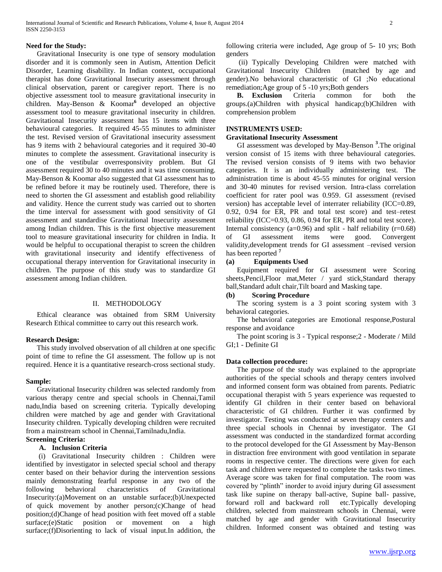#### **Need for the Study:**

 Gravitational Insecurity is one type of sensory modulation disorder and it is commonly seen in Autism, Attention Deficit Disorder, Learning disability. In Indian context, occupational therapist has done Gravitational Insecurity assessment through clinical observation, parent or caregiver report. There is no objective assessment tool to measure gravitational insecurity in children. May-Benson & Koomar**<sup>6</sup>** developed an objective assessment tool to measure gravitational insecurity in children. Gravitational Insecurity assessment has 15 items with three behavioural categories. It required 45-55 minutes to administer the test. Revised version of Gravitational insecurity assessment has 9 items with 2 behavioural categories and it required 30-40 minutes to complete the assessment. Gravitational insecurity is one of the vestibular overresponsivity problem. But GI assessment required 30 to 40 minutes and it was time consuming. May-Benson & Koomar also suggested that GI assessment has to be refined before it may be routinely used. Therefore, there is need to shorten the GI assessment and establish good reliability and validity. Hence the current study was carried out to shorten the time interval for assessment with good sensitivity of GI assessment and standardise Gravitational Insecurity assessment among Indian children. This is the first objective measurement tool to measure gravitational insecurity for children in India. It would be helpful to occupational therapist to screen the children with gravitational insecurity and identify effectiveness of occupational therapy intervention for Gravitational insecurity in children. The purpose of this study was to standardize GI assessment among Indian children.

#### II. METHODOLOGY

 Ethical clearance was obtained from SRM University Research Ethical committee to carry out this research work.

#### **Research Design:**

 This study involved observation of all children at one specific point of time to refine the GI assessment. The follow up is not required. Hence it is a quantitative research-cross sectional study.

#### **Sample:**

 Gravitational Insecurity children was selected randomly from various therapy centre and special schools in Chennai,Tamil nadu,India based on screening criteria. Typically developing children were matched by age and gender with Gravitational Insecurity children. Typically developing children were recruited from a mainstream school in Chennai,Tamilnadu,India.

# **Screening Criteria:**

# **A. Inclusion Criteria**

 (i) Gravitational Insecurity children : Children were identified by investigator in selected special school and therapy center based on their behavior during the intervention sessions mainly demonstrating fearful response in any two of the following behavioral characteristics of Gravitational Insecurity:(a)Movement on an unstable surface;(b)Unexpected of quick movement by another person;(c)Change of head position;(d)Change of head position with feet moved off a stable surface;(e)Static position or movement on a high surface;(f)Disorienting to lack of visual input.In addition, the

following criteria were included, Age group of 5- 10 yrs; Both genders

 (ii) Typically Developing Children were matched with Gravitational Insecurity Children (matched by age and gender).No behavioral characteristic of GI ;No educational remediation;Age group of 5 -10 yrs;Both genders

 **B. Exclusion** Criteria common for both the groups.(a)Children with physical handicap;(b)Children with comprehension problem

## **INSTRUMENTS USED:**

## **Gravitational Insecurity Assessment**

 GI assessment was developed by May-Benson **<sup>3</sup>** .The original version consist of 15 items with three behavioural categories. The revised version consists of 9 items with two behavior categories. It is an individually administering test. The administration time is about 45-55 minutes for original version and 30-40 minutes for revised version. Intra-class correlation coefficient for rater pool was 0.959. GI assessment (revised version) has acceptable level of interrater reliability (ICC=0.89, 0.92, 0.94 for ER, PR and total test score) and test–retest reliability (ICC=0.93, 0.86, 0.94 for ER, PR and total test score). Internal consistency (a=0.96) and split - half reliability ( $r=0.68$ ) of GI assessment items were good. Convergent validity,development trends for GI assessment –revised version has been reported **<sup>7</sup>**

#### **(a) Equipments Used**

 Equipment required for GI assessment were Scoring sheets,Pencil,Floor mat,Meter / yard stick,Standard therapy ball,Standard adult chair,Tilt board and Masking tape.

#### **(b) Scoring Procedure**

 The scoring system is a 3 point scoring system with 3 behavioral categories.

 The behavioral categories are Emotional response,Postural response and avoidance

 The point scoring is 3 - Typical response;2 - Moderate / Mild GI;1 - Definite GI

# **Data collection procedure:**

 The purpose of the study was explained to the appropriate authorities of the special schools and therapy centers involved and informed consent form was obtained from parents. Pediatric occupational therapist with 5 years experience was requested to identify GI children in their center based on behavioral characteristic of GI children. Further it was confirmed by investigator. Testing was conducted at seven therapy centers and three special schools in Chennai by investigator. The GI assessment was conducted in the standardized format according to the protocol developed for the GI Assessment by May-Benson in distraction free environment with good ventilation in separate rooms in respective center. The directions were given for each task and children were requested to complete the tasks two times. Average score was taken for final computation. The room was covered by "plinth" inorder to avoid injury during GI assessment task like supine on therapy ball-active, Supine ball- passive, forward roll and backward roll etc.Typically developing children, selected from mainstream schools in Chennai, were matched by age and gender with Gravitational Insecurity children. Informed consent was obtained and testing was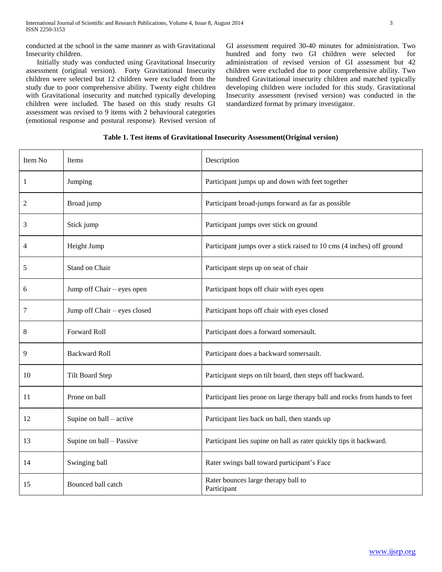conducted at the school in the same manner as with Gravitational Insecurity children.

 Initially study was conducted using Gravitational Insecurity assessment (original version). Forty Gravitational Insecurity children were selected but 12 children were excluded from the study due to poor comprehensive ability. Twenty eight children with Gravitational insecurity and matched typically developing children were included. The based on this study results GI assessment was revised to 9 items with 2 behavioural categories (emotional response and postural response). Revised version of GI assessment required 30-40 minutes for administration. Two hundred and forty two GI children were selected for administration of revised version of GI assessment but 42 children were excluded due to poor comprehensive ability. Two hundred Gravitational insecurity children and matched typically developing children were included for this study. Gravitational Insecurity assessment (revised version) was conducted in the standardized format by primary investigator.

| Table 1. Test items of Gravitational Insecurity Assessment (Original version) |  |  |  |
|-------------------------------------------------------------------------------|--|--|--|
|-------------------------------------------------------------------------------|--|--|--|

| Item No | Items                        | Description                                                               |
|---------|------------------------------|---------------------------------------------------------------------------|
| 1       | Jumping                      | Participant jumps up and down with feet together                          |
| 2       | Broad jump                   | Participant broad-jumps forward as far as possible                        |
| 3       | Stick jump                   | Participant jumps over stick on ground                                    |
| 4       | Height Jump                  | Participant jumps over a stick raised to 10 cms (4 inches) off ground     |
| 5       | Stand on Chair               | Participant steps up on seat of chair                                     |
| 6       | Jump off Chair – eyes open   | Participant hops off chair with eyes open                                 |
| 7       | Jump off Chair - eyes closed | Participant hops off chair with eyes closed                               |
| 8       | Forward Roll                 | Participant does a forward somersault.                                    |
| 9       | <b>Backward Roll</b>         | Participant does a backward somersault.                                   |
| 10      | <b>Tilt Board Step</b>       | Participant steps on tilt board, then steps off backward.                 |
| 11      | Prone on ball                | Participant lies prone on large therapy ball and rocks from hands to feet |
| 12      | Supine on ball – active      | Participant lies back on ball, then stands up                             |
| 13      | Supine on ball - Passive     | Participant lies supine on ball as rater quickly tips it backward.        |
| 14      | Swinging ball                | Rater swings ball toward participant's Face                               |
| 15      | Bounced ball catch           | Rater bounces large therapy ball to<br>Participant                        |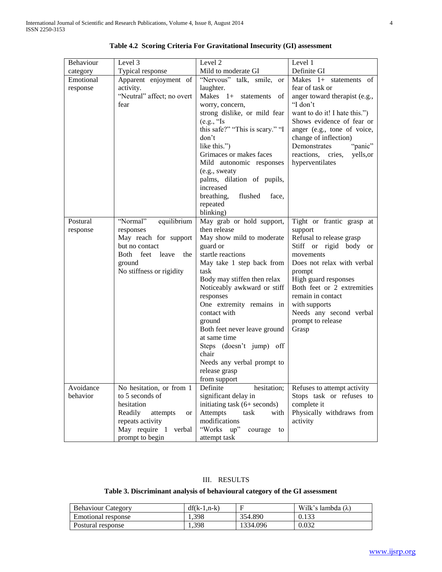| Behaviour             | Level 3                                                                                                                                                      | Level 2                                                                                                                                                                                                                                                                                                                                                                                                                           | Level 1                                                                                                                                                                                                                                                                                              |
|-----------------------|--------------------------------------------------------------------------------------------------------------------------------------------------------------|-----------------------------------------------------------------------------------------------------------------------------------------------------------------------------------------------------------------------------------------------------------------------------------------------------------------------------------------------------------------------------------------------------------------------------------|------------------------------------------------------------------------------------------------------------------------------------------------------------------------------------------------------------------------------------------------------------------------------------------------------|
| category              | Typical response                                                                                                                                             | Mild to moderate GI                                                                                                                                                                                                                                                                                                                                                                                                               | Definite GI                                                                                                                                                                                                                                                                                          |
| Emotional<br>response | Apparent enjoyment of<br>activity.                                                                                                                           | "Nervous" talk, smile, or<br>laughter.                                                                                                                                                                                                                                                                                                                                                                                            | Makes 1+ statements of<br>fear of task or                                                                                                                                                                                                                                                            |
|                       | "Neutral" affect; no overt<br>fear                                                                                                                           | Makes 1+ statements of<br>worry, concern,                                                                                                                                                                                                                                                                                                                                                                                         | anger toward therapist (e.g.,<br>"I don't                                                                                                                                                                                                                                                            |
|                       |                                                                                                                                                              | strong dislike, or mild fear<br>(e.g., "Is<br>this safe?" "This is scary." "I<br>don't<br>like this.")<br>Grimaces or makes faces<br>Mild autonomic responses<br>(e.g., sweaty<br>palms, dilation of pupils,<br>increased<br>flushed<br>breathing,<br>face,<br>repeated                                                                                                                                                           | want to do it! I hate this.")<br>Shows evidence of fear or<br>anger (e.g., tone of voice,<br>change of inflection)<br>Demonstrates<br>"panic"<br>reactions,<br>yells, or<br>cries,<br>hyperventilates                                                                                                |
|                       |                                                                                                                                                              | blinking)                                                                                                                                                                                                                                                                                                                                                                                                                         |                                                                                                                                                                                                                                                                                                      |
| Postural<br>response  | "Normal"<br>equilibrium<br>responses<br>May reach for support<br>but no contact<br>feet leave<br>Both<br>the<br>ground<br>No stiffness or rigidity           | May grab or hold support,<br>then release<br>May show mild to moderate<br>guard or<br>startle reactions<br>May take 1 step back from<br>task<br>Body may stiffen then relax<br>Noticeably awkward or stiff<br>responses<br>One extremity remains in<br>contact with<br>ground<br>Both feet never leave ground<br>at same time<br>Steps (doesn't jump) off<br>chair<br>Needs any verbal prompt to<br>release grasp<br>from support | Tight or frantic grasp at<br>support<br>Refusal to release grasp<br>Stiff or rigid body or<br>movements<br>Does not relax with verbal<br>prompt<br>High guard responses<br>Both feet or 2 extremities<br>remain in contact<br>with supports<br>Needs any second verbal<br>prompt to release<br>Grasp |
| Avoidance<br>behavior | No hesitation, or from 1<br>to 5 seconds of<br>hesitation<br>Readily<br>attempts<br><b>or</b><br>repeats activity<br>May require 1 verbal<br>prompt to begin | Definite<br>hesitation;<br>significant delay in<br>initiating task (6+ seconds)<br>Attempts<br>task<br>with<br>modifications<br>"Works up"<br>courage to<br>attempt task                                                                                                                                                                                                                                                          | Refuses to attempt activity<br>Stops task or refuses to<br>complete it<br>Physically withdraws from<br>activity                                                                                                                                                                                      |

|  |  |  |  | Table 4.2 Scoring Criteria For Gravitational Insecurity (GI) assessment |  |  |  |
|--|--|--|--|-------------------------------------------------------------------------|--|--|--|
|--|--|--|--|-------------------------------------------------------------------------|--|--|--|

# III. RESULTS

# **Table 3. Discriminant analysis of behavioural category of the GI assessment**

| <b>Behaviour Category</b> | $df(k-1.n-k)$ |          | Wilk's lambda $(\lambda)$ |
|---------------------------|---------------|----------|---------------------------|
| Emotional response        | .398          | 354.890  | 0.133                     |
| Postural response         | .398          | 1334.096 | 0.032                     |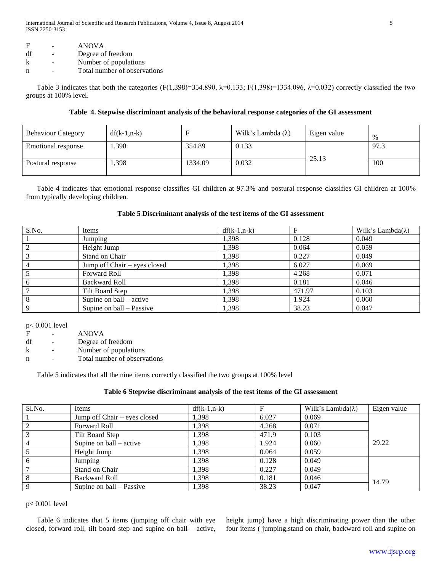| F  | - | <b>ANOVA</b>                 |
|----|---|------------------------------|
| df |   | Degree of freedom            |
| k  |   | Number of populations        |
| n  |   | Total number of observations |

Table 3 indicates that both the categories (F(1,398)=354.890,  $\lambda$ =0.133; F(1,398)=1334.096,  $\lambda$ =0.032) correctly classified the two groups at 100% level.

# **Table 4. Stepwise discriminant analysis of the behavioral response categories of the GI assessment**

| <b>Behaviour Category</b> | $df(k-1, n-k)$ |         | Wilk's Lambda $(\lambda)$ | Eigen value | $\%$ |
|---------------------------|----------------|---------|---------------------------|-------------|------|
| <b>Emotional response</b> | ,398           | 354.89  | 0.133                     |             | 97.3 |
| Postural response         | ,398           | 1334.09 | 0.032                     | 25.13       | 100  |

 Table 4 indicates that emotional response classifies GI children at 97.3% and postural response classifies GI children at 100% from typically developing children.

# **Table 5 Discriminant analysis of the test items of the GI assessment**

| S.No. | Items                        | $df(k-1, n-k)$ |        | Wilk's Lambda( $\lambda$ ) |
|-------|------------------------------|----------------|--------|----------------------------|
|       | Jumping                      | 1,398          | 0.128  | 0.049                      |
| ◠     | Height Jump                  | 1,398          | 0.064  | 0.059                      |
|       | Stand on Chair               | 1,398          | 0.227  | 0.049                      |
| 4     | Jump off Chair – eyes closed | 1,398          | 6.027  | 0.069                      |
|       | Forward Roll                 | 1,398          | 4.268  | 0.071                      |
| 6     | <b>Backward Roll</b>         | 1,398          | 0.181  | 0.046                      |
|       | Tilt Board Step              | 1,398          | 471.97 | 0.103                      |
| 8     | Supine on $ball - active$    | 1,398          | 1.924  | 0.060                      |
| Q     | Supine on ball – Passive     | 1,398          | 38.23  | 0.047                      |

p< 0.001 level

F - ANOVA

df - Degree of freedom

k - Number of populations

n - Total number of observations

Table 5 indicates that all the nine items correctly classified the two groups at 100% level

# **Table 6 Stepwise discriminant analysis of the test items of the GI assessment**

| Sl.No.         | Items                        | $df(k-1, n-k)$ |       | Wilk's Lambda( $\lambda$ ) | Eigen value |
|----------------|------------------------------|----------------|-------|----------------------------|-------------|
|                | Jump off Chair – eyes closed | 1,398          | 6.027 | 0.069                      |             |
|                | <b>Forward Roll</b>          | 1.398          | 4.268 | 0.071                      |             |
|                | Tilt Board Step              | 1,398          | 471.9 | 0.103                      |             |
| $\overline{4}$ | Supine on $ball - active$    | 1.398          | 1.924 | 0.060                      | 29.22       |
|                | Height Jump                  | 1,398          | 0.064 | 0.059                      |             |
| 6              | Jumping                      | 1,398          | 0.128 | 0.049                      |             |
|                | Stand on Chair               | 1.398          | 0.227 | 0.049                      |             |
| -8             | <b>Backward Roll</b>         | 1.398          | 0.181 | 0.046                      | 14.79       |
| $\mathbf{Q}$   | Supine on ball – Passive     | 1,398          | 38.23 | 0.047                      |             |

# p< 0.001 level

 Table 6 indicates that 5 items (jumping off chair with eye closed, forward roll, tilt board step and supine on ball – active, height jump) have a high discriminating power than the other four items ( jumping,stand on chair, backward roll and supine on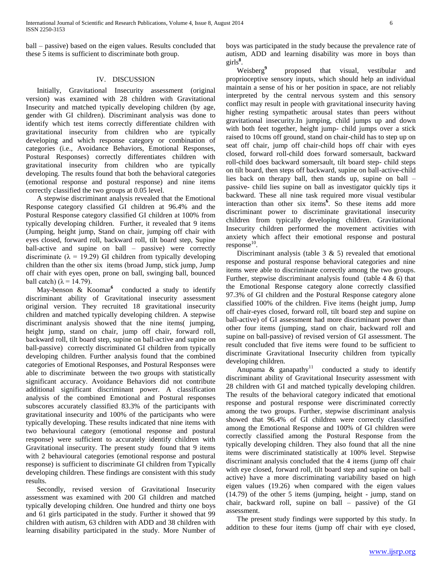ball – passive) based on the eigen values. Results concluded that these 5 items is sufficient to discriminate both group.

# IV. DISCUSSION

 Initially, Gravitational Insecurity assessment (original version) was examined with 28 children with Gravitational Insecurity and matched typically developing children (by age, gender with GI children). Discriminant analysis was done to identify which test items correctly differentiate children with gravitational insecurity from children who are typically developing and which response category or combination of categories (i.e., Avoidance Behaviors, Emotional Responses, Postural Responses) correctly differentiates children with gravitational insecurity from children who are typically developing. The results found that both the behavioral categories (emotional response and postural response) and nine items correctly classified the two groups at 0.05 level.

 A stepwise discriminant analysis revealed that the Emotional Response category classified GI children at 96.4% and the Postural Response category classified GI children at 100% from typically developing children. Further, it revealed that 9 items (Jumping, height jump, Stand on chair, jumping off chair with eyes closed, forward roll, backward roll, tilt board step, Supine ball-active and supine on ball – passive) were correctly discriminate ( $\lambda = 19.29$ ) GI children from typically developing children than the other six items (broad Jump, stick jump, Jump off chair with eyes open, prone on ball, swinging ball, bounced ball catch) ( $\lambda$  = 14.79).

May-benson & Koomar<sup>6</sup> conducted a study to identify discriminant ability of Gravitational insecurity assessment original version. They recruited 18 gravitational insecurity children and matched typically developing children. A stepwise discriminant analysis showed that the nine items( jumping, height jump, stand on chair, jump off chair, forward roll, backward roll, tilt board step, supine on ball-active and supine on ball-passive) correctly discriminated GI children from typically developing children. Further analysis found that the combined categories of Emotional Responses, and Postural Responses were able to discriminate between the two groups with statistically significant accuracy. Avoidance Behaviors did not contribute additional significant discriminant power. A classification analysis of the combined Emotional and Postural responses subscores accurately classified 83.3% of the participants with gravitational insecurity and 100% of the participants who were typically developing. These results indicated that nine items with two behavioural category (emotional response and postural response) were sufficient to accurately identify children with Gravitational insecurity. The present study found that 9 items with 2 behavioural categories (emotional response and postural response) is sufficient to discriminate GI children from Typically developing children. These findings are consistent with this study results.

 Secondly, revised version of Gravitational Insecurity assessment was examined with 200 GI children and matched typicall**y** developing children. One hundred and thirty one boys and 61 girls participated in the study. Further it showed that 99 children with autism, 63 children with ADD and 38 children with learning disability participated in the study. More Number of boys was participated in the study because the prevalence rate of autism, ADD and learning disability was more in boys than girls**<sup>8</sup>** .

 Weisberg**<sup>9</sup>** proposed that visual, vestibular and proprioceptive sensory inputs, which should help an individual maintain a sense of his or her position in space, are not reliably interpreted by the central nervous system and this sensory conflict may result in people with gravitational insecurity having higher resting sympathetic arousal states than peers without gravitational insecurity.In jumping, child jumps up and down with both feet together, height jump- child jumps over a stick raised to 10cms off ground, stand on chair-child has to step up on seat off chair, jump off chair-child hops off chair with eyes closed, forward roll-child does forward somersault, backward roll-child does backward somersault, tilt board step- child steps on tilt board, then steps off backward, supine on ball-active-child lies back on therapy ball, then stands up, supine on ball – passive- child lies supine on ball as investigator quickly tips it backward. These all nine task required more visual vestibular interaction than other six items**<sup>6</sup>** . So these items add more discriminant power to discriminate gravitational insecurity children from typically developing children. Gravitational Insecurity children performed the movement activities with anxiety which affect their emotional response and postural  $response<sup>10</sup>$ .

Discriminant analysis (table  $3 \& 5$ ) revealed that emotional response and postural response behavioral categories and nine items were able to discriminate correctly among the two groups. Further, stepwise discriminant analysis found (table  $4 \& 6$ ) that the Emotional Response category alone correctly classified 97.3% of GI children and the Postural Response category alone classified 100% of the children. Five items (height jump, Jump off chair-eyes closed, forward roll, tilt board step and supine on ball-active) of GI assessment had more discriminant power than other four items (jumping, stand on chair, backward roll and supine on ball-passive) of revised version of GI assessment. The result concluded that five items were found to be sufficient to discriminate Gravitational Insecurity children from typically developing children.

Anupama  $\&$  ganapathy<sup>11</sup> conducted a study to identify discriminant ability of Gravitational Insecurity assessment with 28 children with GI and matched typically developing children. The results of the behavioral category indicated that emotional response and postural response were discriminated correctly among the two groups. Further, stepwise discriminant analysis showed that 96.4% of GI children were correctly classified among the Emotional Response and 100% of GI children were correctly classified among the Postural Response from the typically developing children. They also found that all the nine items were discriminated statistically at 100% level. Stepwise discriminant analysis concluded that the 4 items (jump off chair with eye closed, forward roll, tilt board step and supine on ball active) have a more discriminating variability based on high eigen values (19.26) when compared with the eigen values (14.79) of the other 5 items (jumping, height - jump, stand on chair, backward roll, supine on ball – passive) of the GI assessment.

 The present study findings were supported by this study. In addition to these four items (jump off chair with eye closed,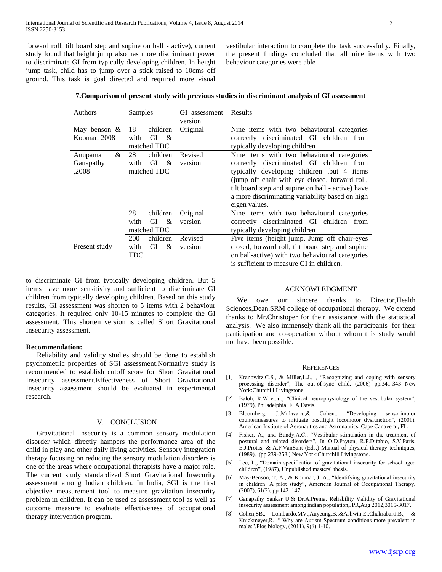forward roll, tilt board step and supine on ball - active), current study found that height jump also has more discriminant power to discriminate GI from typically developing children. In height jump task, child has to jump over a stick raised to 10cms off ground. This task is goal directed and required more visual

vestibular interaction to complete the task successfully. Finally, the present findings concluded that all nine items with two behaviour categories were able

|  | 7. Comparison of present study with previous studies in discriminant analysis of GI assessment |  |
|--|------------------------------------------------------------------------------------------------|--|
|--|------------------------------------------------------------------------------------------------|--|

| <b>Authors</b>  | Samples                                   | GI assessment | Results                                           |
|-----------------|-------------------------------------------|---------------|---------------------------------------------------|
|                 |                                           | version       |                                                   |
| May benson $\&$ | 18<br>children                            | Original      | Nine items with two behavioural categories        |
| Koomar, 2008    | with<br>GI<br>$\mathcal{R}_{\mathcal{L}}$ |               | correctly discriminated GI children from          |
|                 | matched TDC                               |               | typically developing children                     |
| &<br>Anupama    | 28<br>children                            | Revised       | Nine items with two behavioural categories        |
| Ganapathy       | GI<br>&<br>with                           | version       | correctly discriminated GI children from          |
| ,2008           | matched TDC                               |               | typically developing children .but 4 items        |
|                 |                                           |               | (jump off chair with eye closed, forward roll,    |
|                 |                                           |               | tilt board step and supine on ball - active) have |
|                 |                                           |               | a more discriminating variability based on high   |
|                 |                                           |               | eigen values.                                     |
|                 | 28<br>children                            | Original      | Nine items with two behavioural categories        |
|                 | with<br>GI &                              | version       | correctly discriminated GI children from          |
|                 | matched TDC                               |               | typically developing children                     |
|                 | children<br>200                           | Revised       | Five items (height jump, Jump off chair-eyes      |
| Present study   | GI<br>with<br>&                           | version       | closed, forward roll, tilt board step and supine  |
|                 | TDC                                       |               | on ball-active) with two behavioural categories   |
|                 |                                           |               | is sufficient to measure GI in children.          |

to discriminate GI from typically developing children. But 5 items have more sensitivity and sufficient to discriminate GI children from typically developing children. Based on this study results, GI assessment was shorten to 5 items with 2 behaviour categories. It required only 10-15 minutes to complete the GI assessment. This shorten version is called Short Gravitational Insecurity assessment.

## **Recommendation:**

 Reliability and validity studies should be done to establish psychometric properties of SGI assessment.Normative study is recommended to establish cutoff score for Short Gravitational Insecurity assessment.Effectiveness of Short Gravitational Insecurity assessment should be evaluated in experimental research.

# V. CONCLUSION

 Gravitational Insecurity is a common sensory modulation disorder which directly hampers the performance area of the child in play and other daily living activities. Sensory integration therapy focusing on reducing the sensory modulation disorders is one of the areas where occupational therapists have a major role. The current study standardized Short Gravitational Insecurity assessment among Indian children. In India, SGI is the first objective measurement tool to measure gravitation insecurity problem in children. It can be used as assessment tool as well as outcome measure to evaluate effectiveness of occupational therapy intervention program.

## ACKNOWLEDGMENT

We owe our sincere thanks to Director, Health Sciences,Dean,SRM college of occupational therapy. We extend thanks to Mr.Christoper for their assistance with the statistical analysis. We also immensely thank all the participants for their participation and co-operation without whom this study would not have been possible.

#### **REFERENCES**

- [1] Kranowitz,C.S., & Miller,L.J., , "Recognizing and coping with sensory processing disorder", The out-of-sync child, (2006) pp.341-343 New York:Churchill Livingstone.
- [2] Baloh, R.W et.al., "Clinical neurophysiology of the vestibular system", (1979), Philadelphia: F. A Davis.
- [3] Bloomberg, J.,Mulavara.,& Cohen., "Developing sensorimotor countermeasures to mitigate postflight locomotor dysfunction", (2001), American Institute of Aeronautics and Astronautics, Cape Canaveral, FL.
- [4] Fisher, A., and Bundy,A.C., "Vestibular stimulation in the treatment of postural and related disorders", In O.D.Payton, R.P.Difabio, S.V.Paris, E.J.Protas, & A.F.VanSant (Eds.) Manual of physical therapy techniques, (1989), (pp.239-258.),New York:Churchill Livingstone.
- [5] Lee, L., "Domain specification of gravitational insecurity for school aged children", (1987), Unpublished masters' thesis.
- [6] May-Benson, T. A., & Koomar, J. A., "Identifying gravitational insecurity in children: A pilot study", American Journal of Occupational Therapy, (2007), 61(2), pp.142–147.
- [7] Ganapathy Sankar U.& Dr.A.Prema. Reliability Validity of Gravitational insecurity assessment among indian population,JPR,Aug 2012,3015-3017.
- [8] Cohen,SB., Lombardo,MV.,Auyeung,B.,&Ashwin,E.,Chakrabarti,B., & Knickmeyer,R., " Why are Autism Spectrum conditions more prevalent in males",Plos biology, (2011), 9(6):1-10.